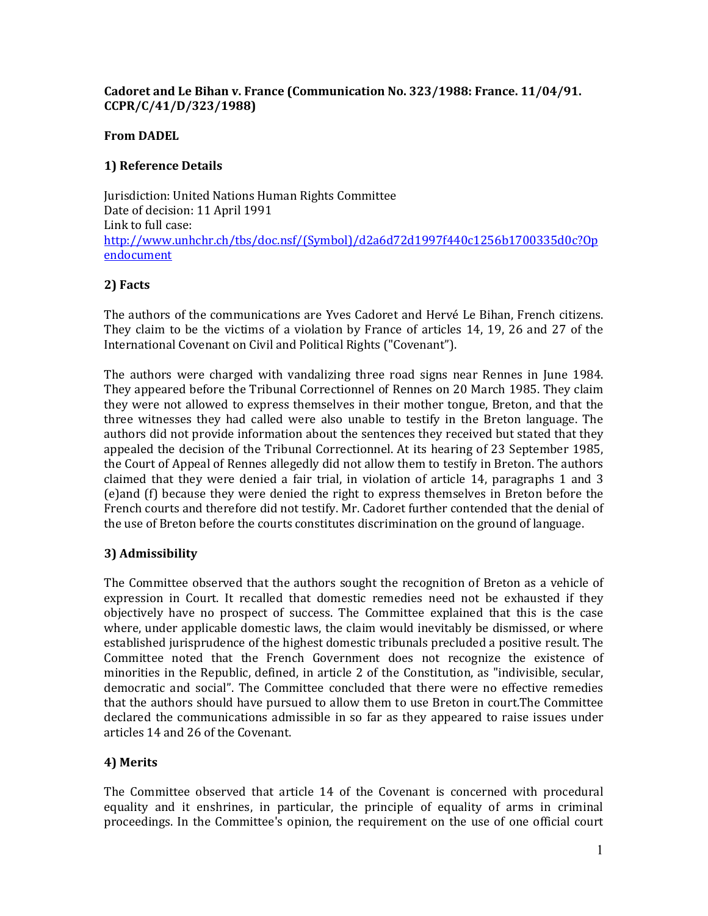#### Cadoret and Le Bihan v. France (Communication No. 323/1988: France. 11/04/91. CCPR/C/41/D/323/1988)

#### From DADEL

### 1) Reference Details

Jurisdiction: United Nations Human Rights Committee Date of decision: 11 April 1991 Link to full case: http://www.unhchr.ch/tbs/doc.nsf/(Symbol)/d2a6d72d1997f440c1256b1700335d0c?Op endocument

# 2) Facts

The authors of the communications are Yves Cadoret and Hervé Le Bihan, French citizens. They claim to be the victims of a violation by France of articles 14, 19, 26 and 27 of the International Covenant on Civil and Political Rights ("Covenant").

The authors were charged with vandalizing three road signs near Rennes in June 1984. They appeared before the Tribunal Correctionnel of Rennes on 20 March 1985. They claim they were not allowed to express themselves in their mother tongue, Breton, and that the three witnesses they had called were also unable to testify in the Breton language. The authors did not provide information about the sentences they received but stated that they appealed the decision of the Tribunal Correctionnel. At its hearing of 23 September 1985, the Court of Appeal of Rennes allegedly did not allow them to testify in Breton. The authors claimed that they were denied a fair trial, in violation of article 14, paragraphs 1 and 3 (e)and (f) because they were denied the right to express themselves in Breton before the French courts and therefore did not testify. Mr. Cadoret further contended that the denial of the use of Breton before the courts constitutes discrimination on the ground of language.

# 3) Admissibility

The Committee observed that the authors sought the recognition of Breton as a vehicle of expression in Court. It recalled that domestic remedies need not be exhausted if they objectively have no prospect of success. The Committee explained that this is the case where, under applicable domestic laws, the claim would inevitably be dismissed, or where established jurisprudence of the highest domestic tribunals precluded a positive result. The Committee noted that the French Government does not recognize the existence of minorities in the Republic, defined, in article 2 of the Constitution, as "indivisible, secular, democratic and social". The Committee concluded that there were no effective remedies that the authors should have pursued to allow them to use Breton in court.The Committee declared the communications admissible in so far as they appeared to raise issues under articles 14 and 26 of the Covenant.

# 4) Merits

The Committee observed that article 14 of the Covenant is concerned with procedural equality and it enshrines, in particular, the principle of equality of arms in criminal proceedings. In the Committee's opinion, the requirement on the use of one official court